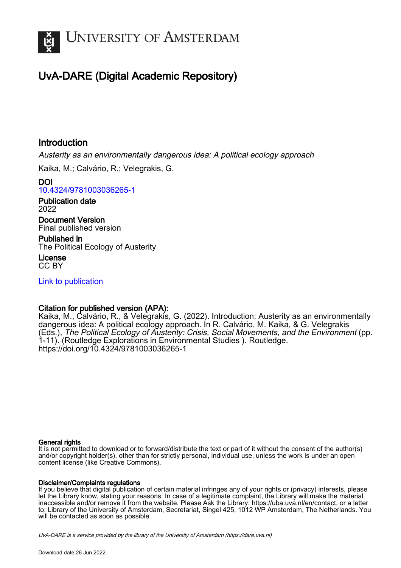

# UvA-DARE (Digital Academic Repository)

## Introduction

Austerity as an environmentally dangerous idea: A political ecology approach

Kaika, M.; Calvário, R.; Velegrakis, G.

DOI [10.4324/9781003036265-1](https://doi.org/10.4324/9781003036265-1)

Publication date 2022

Document Version Final published version

Published in The Political Ecology of Austerity

License CC BY

[Link to publication](https://dare.uva.nl/personal/pure/en/publications/introduction(2a74013f-6c68-4066-b799-a94b858a4a8d).html)

### Citation for published version (APA):

Kaika, M., Calvário, R., & Velegrakis, G. (2022). Introduction: Austerity as an environmentally dangerous idea: A political ecology approach. In R. Calvário, M. Kaika, & G. Velegrakis (Eds.), The Political Ecology of Austerity: Crisis, Social Movements, and the Environment (pp. 1-11). (Routledge Explorations in Environmental Studies ). Routledge. <https://doi.org/10.4324/9781003036265-1>

#### General rights

It is not permitted to download or to forward/distribute the text or part of it without the consent of the author(s) and/or copyright holder(s), other than for strictly personal, individual use, unless the work is under an open content license (like Creative Commons).

#### Disclaimer/Complaints regulations

If you believe that digital publication of certain material infringes any of your rights or (privacy) interests, please let the Library know, stating your reasons. In case of a legitimate complaint, the Library will make the material inaccessible and/or remove it from the website. Please Ask the Library: https://uba.uva.nl/en/contact, or a letter to: Library of the University of Amsterdam, Secretariat, Singel 425, 1012 WP Amsterdam, The Netherlands. You will be contacted as soon as possible.

UvA-DARE is a service provided by the library of the University of Amsterdam (http*s*://dare.uva.nl)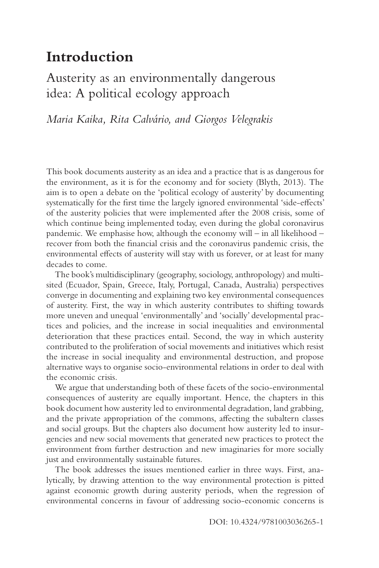# **Introduction**

## [Austerity as an environmentally dangerous](#page--1-0)  idea: A political ecology approach

*Maria Kaika, Rita Calvário, and Giorgos Velegrakis* 

This book documents austerity as an idea and a practice that is as dangerous for the environment, as it is for the economy and for society (Blyth, 2013). The aim is to open a debate on the 'political ecology of austerity' by documenting systematically for the frst time the largely ignored environmental 'side-efects' of the austerity policies that were implemented after the 2008 crisis, some of which continue being implemented today, even during the global coronavirus pandemic. We emphasise how, although the economy will – in all likelihood – recover from both the fnancial crisis and the coronavirus pandemic crisis, the environmental efects of austerity will stay with us forever, or at least for many decades to come.

The book's multidisciplinary (geography, sociology, anthropology) and multisited (Ecuador, Spain, Greece, Italy, Portugal, Canada, Australia) perspectives converge in documenting and explaining two key environmental consequences of austerity. First, the way in which austerity contributes to shifting towards more uneven and unequal 'environmentally' and 'socially' developmental practices and policies, and the increase in social inequalities and environmental deterioration that these practices entail. Second, the way in which austerity contributed to the proliferation of social movements and initiatives which resist the increase in social inequality and environmental destruction, and propose alternative ways to organise socio-environmental relations in order to deal with the economic crisis.

We argue that understanding both of these facets of the socio-environmental consequences of austerity are equally important. Hence, the chapters in this book document how austerity led to environmental degradation, land grabbing, and the private appropriation of the commons, afecting the subaltern classes and social groups. But the chapters also document how austerity led to insurgencies and new social movements that generated new practices to protect the environment from further destruction and new imaginaries for more socially just and environmentally sustainable futures.

The book addresses the issues mentioned earlier in three ways. First, analytically, by drawing attention to the way environmental protection is pitted against economic growth during austerity periods, when the regression of environmental concerns in favour of addressing socio-economic concerns is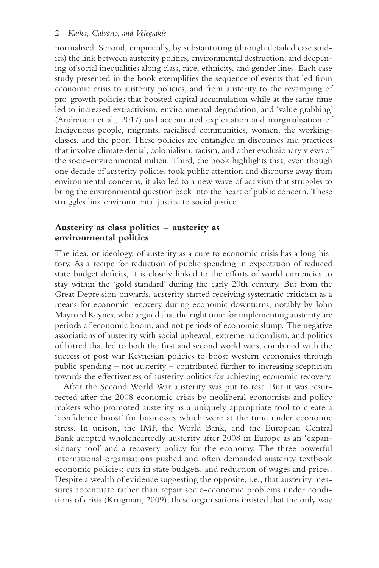normalised. Second, empirically, by substantiating (through detailed case studies) the link between austerity politics, environmental destruction, and deepening of social inequalities along class, race, ethnicity, and gender lines. Each case study presented in the book exemplifes the sequence of events that led from economic crisis to austerity policies, and from austerity to the revamping of pro-growth policies that boosted capital accumulation while at the same time led to increased extractivism, environmental degradation, and 'value grabbing' (Andreucci et al., 2017) and accentuated exploitation and marginalisation of Indigenous people, migrants, racialised communities, women, the workingclasses, and the poor. These policies are entangled in discourses and practices that involve climate denial, colonialism, racism, and other exclusionary views of the socio-environmental milieu. Third, the book highlights that, even though one decade of austerity policies took public attention and discourse away from environmental concerns, it also led to a new wave of activism that struggles to bring the environmental question back into the heart of public concern. These struggles link environmental justice to social justice.

#### **Austerity as class politics = austerity as environmental politics**

The idea, or ideology, of austerity as a cure to economic crisis has a long history. As a recipe for reduction of public spending in expectation of reduced state budget defcits, it is closely linked to the eforts of world currencies to stay within the 'gold standard' during the early 20th century. But from the Great Depression onwards, austerity started receiving systematic criticism as a means for economic recovery during economic downturns, notably by John Maynard Keynes, who argued that the right time for implementing austerity are periods of economic boom, and not periods of economic slump. The negative associations of austerity with social upheaval, extreme nationalism, and politics of hatred that led to both the frst and second world wars, combined with the success of post war Keynesian policies to boost western economies through public spending – not austerity – contributed further to increasing scepticism towards the efectiveness of austerity politics for achieving economic recovery.

After the Second World War austerity was put to rest. But it was resurrected after the 2008 economic crisis by neoliberal economists and policy makers who promoted austerity as a uniquely appropriate tool to create a 'confdence boost' for businesses which were at the time under economic stress. In unison, the IMF, the World Bank, and the European Central Bank adopted wholeheartedly austerity after 2008 in Europe as an 'expansionary tool' and a recovery policy for the economy. The three powerful international organisations pushed and often demanded austerity textbook economic policies: cuts in state budgets, and reduction of wages and prices. Despite a wealth of evidence suggesting the opposite, i.e., that austerity measures accentuate rather than repair socio-economic problems under conditions of crisis (Krugman, 2009), these organisations insisted that the only way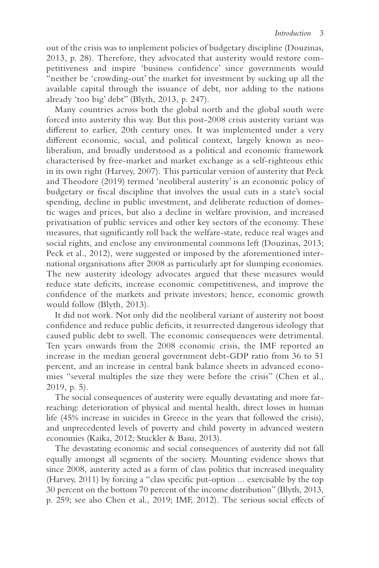out of the crisis was to implement policies of budgetary discipline (Douzinas, 2013, p. 28). Therefore, they advocated that austerity would restore competitiveness and inspire 'business confdence' since governments would "neither be 'crowding-out' the market for investment by sucking up all the available capital through the issuance of debt, nor adding to the nations already 'too big' debt" (Blyth, 2013, p. 247).

Many countries across both the global north and the global south were forced into austerity this way. But this post-2008 crisis austerity variant was diferent to earlier, 20th century ones. It was implemented under a very diferent economic, social, and political context, largely known as neoliberalism, and broadly understood as a political and economic framework characterised by free-market and market exchange as a self-righteous ethic in its own right (Harvey, 2007). This particular version of austerity that Peck and Theodore (2019) termed 'neoliberal austerity' is an economic policy of budgetary or fscal discipline that involves the usual cuts in a state's social spending, decline in public investment, and deliberate reduction of domestic wages and prices, but also a decline in welfare provision, and increased privatisation of public services and other key sectors of the economy. These measures, that signifcantly roll back the welfare-state, reduce real wages and social rights, and enclose any environmental commons left (Douzinas, 2013; Peck et al., 2012), were suggested or imposed by the aforementioned international organisations after 2008 as particularly apt for slumping economies. The new austerity ideology advocates argued that these measures would reduce state defcits, increase economic competitiveness, and improve the confdence of the markets and private investors; hence, economic growth would follow (Blyth, 2013).

It did not work. Not only did the neoliberal variant of austerity not boost confidence and reduce public deficits, it resurrected dangerous ideology that caused public debt to swell. The economic consequences were detrimental. Ten years onwards from the 2008 economic crisis, the IMF reported an increase in the median general government debt-GDP ratio from 36 to 51 percent, and an increase in central bank balance sheets in advanced economies "several multiples the size they were before the crisis" (Chen et al., 2019, p. 5).

The social consequences of austerity were equally devastating and more farreaching: deterioration of physical and mental health, direct losses in human life (45% increase in suicides in Greece in the years that followed the crisis), and unprecedented levels of poverty and child poverty in advanced western economies (Kaika, 2012; Stuckler & Basu, 2013).

The devastating economic and social consequences of austerity did not fall equally amongst all segments of the society. Mounting evidence shows that since 2008, austerity acted as a form of class politics that increased inequality (Harvey, 2011) by forcing a "class specifc put-option ... exercisable by the top 30 percent on the bottom 70 percent of the income distribution" (Blyth, 2013, p. 259; see also Chen et al., 2019; IMF, 2012). The serious social efects of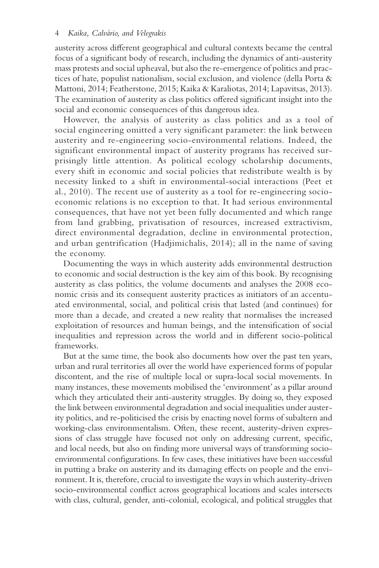austerity across diferent geographical and cultural contexts became the central focus of a signifcant body of research, including the dynamics of anti-austerity mass protests and social upheaval, but also the re-emergence of politics and practices of hate, populist nationalism, social exclusion, and violence (della Porta & Mattoni, 2014; Featherstone, 2015; Kaika & Karaliotas, 2014; Lapavitsas, 2013). The examination of austerity as class politics ofered signifcant insight into the social and economic consequences of this dangerous idea.

However, the analysis of austerity as class politics and as a tool of social engineering omitted a very significant parameter: the link between austerity and re-engineering socio-environmental relations. Indeed, the significant environmental impact of austerity programs has received surprisingly little attention. As political ecology scholarship documents, every shift in economic and social policies that redistribute wealth is by necessity linked to a shift in environmental-social interactions (Peet et al., 2010). The recent use of austerity as a tool for re-engineering socioeconomic relations is no exception to that. It had serious environmental consequences, that have not yet been fully documented and which range from land grabbing, privatisation of resources, increased extractivism, direct environmental degradation, decline in environmental protection, and urban gentrification (Hadjimichalis, 2014); all in the name of saving the economy.

Documenting the ways in which austerity adds environmental destruction to economic and social destruction is the key aim of this book. By recognising austerity as class politics, the volume documents and analyses the 2008 economic crisis and its consequent austerity practices as initiators of an accentuated environmental, social, and political crisis that lasted (and continues) for more than a decade, and created a new reality that normalises the increased exploitation of resources and human beings, and the intensifcation of social inequalities and repression across the world and in diferent socio-political frameworks.

But at the same time, the book also documents how over the past ten years, urban and rural territories all over the world have experienced forms of popular discontent, and the rise of multiple local or supra-local social movements. In many instances, these movements mobilised the 'environment' as a pillar around which they articulated their anti-austerity struggles. By doing so, they exposed the link between environmental degradation and social inequalities under austerity politics, and re-politicised the crisis by enacting novel forms of subaltern and working-class environmentalism. Often, these recent, austerity-driven expressions of class struggle have focused not only on addressing current, specifc, and local needs, but also on fnding more universal ways of transforming socioenvironmental confgurations. In few cases, these initiatives have been successful in putting a brake on austerity and its damaging efects on people and the environment. It is, therefore, crucial to investigate the ways in which austerity-driven socio-environmental confict across geographical locations and scales intersects with class, cultural, gender, anti-colonial, ecological, and political struggles that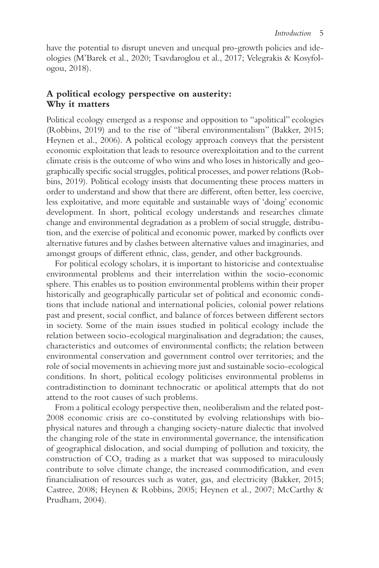have the potential to disrupt uneven and unequal pro-growth policies and ideologies (M'Barek et al., 2020; Tsavdaroglou et al., 2017; Velegrakis & Kosyfologou, 2018).

### **A political ecology perspective on austerity: Why it matters**

Political ecology emerged as a response and opposition to "apolitical" ecologies (Robbins, 2019) and to the rise of "liberal environmentalism" (Bakker, 2015; Heynen et al., 2006). A political ecology approach conveys that the persistent economic exploitation that leads to resource overexploitation and to the current climate crisis is the outcome of who wins and who loses in historically and geographically specifc social struggles, political processes, and power relations (Robbins, 2019). Political ecology insists that documenting these process matters in order to understand and show that there are diferent, often better, less coercive, less exploitative, and more equitable and sustainable ways of 'doing' economic development. In short, political ecology understands and researches climate change and environmental degradation as a problem of social struggle, distribution, and the exercise of political and economic power, marked by conficts over alternative futures and by clashes between alternative values and imaginaries, and amongst groups of diferent ethnic, class, gender, and other backgrounds.

For political ecology scholars, it is important to historicise and contextualise environmental problems and their interrelation within the socio-economic sphere. This enables us to position environmental problems within their proper historically and geographically particular set of political and economic conditions that include national and international policies, colonial power relations past and present, social confict, and balance of forces between diferent sectors in society. Some of the main issues studied in political ecology include the relation between socio-ecological marginalisation and degradation; the causes, characteristics and outcomes of environmental conficts; the relation between environmental conservation and government control over territories; and the role of social movements in achieving more just and sustainable socio-ecological conditions. In short, political ecology politicises environmental problems in contradistinction to dominant technocratic or apolitical attempts that do not attend to the root causes of such problems.

From a political ecology perspective then, neoliberalism and the related post-2008 economic crisis are co-constituted by evolving relationships with biophysical natures and through a changing society-nature dialectic that involved the changing role of the state in environmental governance, the intensifcation of geographical dislocation, and social dumping of pollution and toxicity, the construction of  $CO<sub>2</sub>$  trading as a market that was supposed to miraculously contribute to solve climate change, the increased commodifcation, and even fnancialisation of resources such as water, gas, and electricity (Bakker, 2015; Castree, 2008; Heynen & Robbins, 2005; Heynen et al., 2007; McCarthy & Prudham, 2004).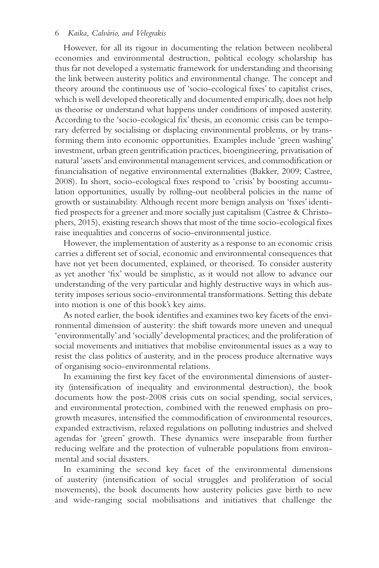#### 6 *Kaika, Calvário, and Velegrakis*

However, for all its rigour in documenting the relation between neoliberal economies and environmental destruction, political ecology scholarship has thus far not developed a systematic framework for understanding and theorising the link between austerity politics and environmental change. The concept and theory around the continuous use of 'socio-ecological fxes' to capitalist crises, which is well developed theoretically and documented empirically, does not help us theorise or understand what happens under conditions of imposed austerity. According to the 'socio-ecological fx' thesis, an economic crisis can be temporary deferred by socialising or displacing environmental problems, or by transforming them into economic opportunities. Examples include 'green washing' investment, urban green gentrifcation practices, bioengineering, privatisation of natural 'assets' and environmental management services, and commodifcation or fnancialisation of negative environmental externalities (Bakker, 2009; Castree, 2008). In short, socio-ecological fxes respond to 'crisis' by boosting accumulation opportunities, usually by rolling-out neoliberal policies in the name of growth or sustainability. Although recent more benign analysis on 'fxes' identifed prospects for a greener and more socially just capitalism (Castree & Christophers, 2015), existing research shows that most of the time socio-ecological fxes raise inequalities and concerns of socio-environmental justice.

However, the implementation of austerity as a response to an economic crisis carries a diferent set of social, economic and environmental consequences that have not yet been documented, explained, or theorised. To consider austerity as yet another 'fx' would be simplistic, as it would not allow to advance our understanding of the very particular and highly destructive ways in which austerity imposes serious socio-environmental transformations. Setting this debate into motion is one of this book's key aims.

As noted earlier, the book identifes and examines two key facets of the environmental dimension of austerity: the shift towards more uneven and unequal 'environmentally' and 'socially'developmental practices; and the proliferation of social movements and initiatives that mobilise environmental issues as a way to resist the class politics of austerity, and in the process produce alternative ways of organising socio-environmental relations.

In examining the frst key facet of the environmental dimensions of austerity (intensifcation of inequality and environmental destruction), the book documents how the post-2008 crisis cuts on social spending, social services, and environmental protection, combined with the renewed emphasis on progrowth measures, intensifed the commodifcation of environmental resources, expanded extractivism, relaxed regulations on polluting industries and shelved agendas for 'green' growth. These dynamics were inseparable from further reducing welfare and the protection of vulnerable populations from environmental and social disasters.

In examining the second key facet of the environmental dimensions of austerity (intensifcation of social struggles and proliferation of social movements), the book documents how austerity policies gave birth to new and wide-ranging social mobilisations and initiatives that challenge the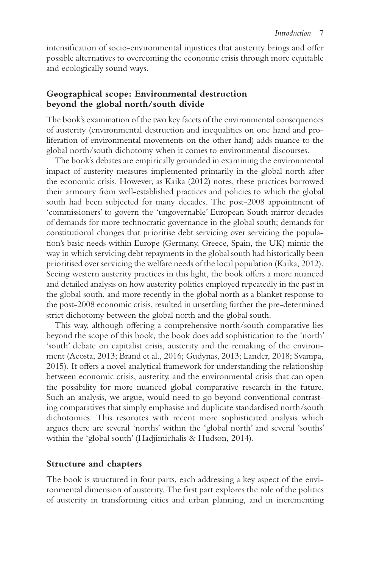intensifcation of socio-environmental injustices that austerity brings and ofer possible alternatives to overcoming the economic crisis through more equitable and ecologically sound ways.

### **Geographical scope: Environmental destruction beyond the global north/south divide**

The book's examination of the two key facets of the environmental consequences of austerity (environmental destruction and inequalities on one hand and proliferation of environmental movements on the other hand) adds nuance to the global north/south dichotomy when it comes to environmental discourses.

The book's debates are empirically grounded in examining the environmental impact of austerity measures implemented primarily in the global north after the economic crisis. However, as Kaika (2012) notes, these practices borrowed their armoury from well-established practices and policies to which the global south had been subjected for many decades. The post-2008 appointment of 'commissioners' to govern the 'ungovernable' European South mirror decades of demands for more technocratic governance in the global south; demands for constitutional changes that prioritise debt servicing over servicing the population's basic needs within Europe (Germany, Greece, Spain, the UK) mimic the way in which servicing debt repayments in the global south had historically been prioritised over servicing the welfare needs of the local population (Kaika, 2012). Seeing western austerity practices in this light, the book ofers a more nuanced and detailed analysis on how austerity politics employed repeatedly in the past in the global south, and more recently in the global north as a blanket response to the post-2008 economic crisis, resulted in unsettling further the pre-determined strict dichotomy between the global north and the global south.

This way, although offering a comprehensive north/south comparative lies beyond the scope of this book, the book does add sophistication to the 'north' 'south' debate on capitalist crisis, austerity and the remaking of the environment (Acosta, 2013; Brand et al., 2016; Gudynas, 2013; Lander, 2018; Svampa, 2015). It offers a novel analytical framework for understanding the relationship between economic crisis, austerity, and the environmental crisis that can open the possibility for more nuanced global comparative research in the future. Such an analysis, we argue, would need to go beyond conventional contrasting comparatives that simply emphasise and duplicate standardised north/south dichotomies. This resonates with recent more sophisticated analysis which argues there are several 'norths' within the 'global north' and several 'souths' within the 'global south' (Hadjimichalis & Hudson, 2014).

#### **Structure and chapters**

The book is structured in four parts, each addressing a key aspect of the environmental dimension of austerity. The frst part explores the role of the politics of austerity in transforming cities and urban planning, and in incrementing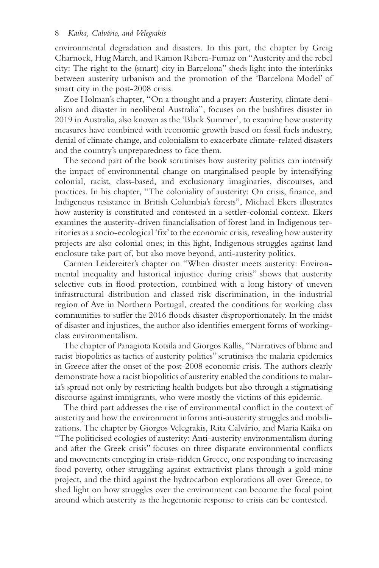environmental degradation and disasters. In this part, the chapter by Greig Charnock, Hug March, and Ramon Ribera-Fumaz on "Austerity and the rebel city: The right to the (smart) city in Barcelona" sheds light into the interlinks between austerity urbanism and the promotion of the 'Barcelona Model' of smart city in the post-2008 crisis.

Zoe Holman's chapter, "On a thought and a prayer: Austerity, climate denialism and disaster in neoliberal Australia", focuses on the bushfres disaster in 2019 in Australia, also known as the 'Black Summer', to examine how austerity measures have combined with economic growth based on fossil fuels industry, denial of climate change, and colonialism to exacerbate climate-related disasters and the country's unpreparedness to face them.

The second part of the book scrutinises how austerity politics can intensify the impact of environmental change on marginalised people by intensifying colonial, racist, class-based, and exclusionary imaginaries, discourses, and practices. In his chapter, "The coloniality of austerity: On crisis, fnance, and Indigenous resistance in British Columbia's forests", Michael Ekers illustrates how austerity is constituted and contested in a settler-colonial context. Ekers examines the austerity-driven fnancialisation of forest land in Indigenous territories as a socio-ecological 'fx' to the economic crisis, revealing how austerity projects are also colonial ones; in this light, Indigenous struggles against land enclosure take part of, but also move beyond, anti-austerity politics.

Carmen Leidereiter's chapter on "When disaster meets austerity: Environmental inequality and historical injustice during crisis" shows that austerity selective cuts in food protection, combined with a long history of uneven infrastructural distribution and classed risk discrimination, in the industrial region of Ave in Northern Portugal, created the conditions for working class communities to sufer the 2016 foods disaster disproportionately. In the midst of disaster and injustices, the author also identifes emergent forms of workingclass environmentalism.

The chapter of Panagiota Kotsila and Giorgos Kallis, "Narratives of blame and racist biopolitics as tactics of austerity politics" scrutinises the malaria epidemics in Greece after the onset of the post-2008 economic crisis. The authors clearly demonstrate how a racist biopolitics of austerity enabled the conditions to malaria's spread not only by restricting health budgets but also through a stigmatising discourse against immigrants, who were mostly the victims of this epidemic.

The third part addresses the rise of environmental confict in the context of austerity and how the environment informs anti-austerity struggles and mobilizations. The chapter by Giorgos Velegrakis, Rita Calvário, and Maria Kaika on "The politicised ecologies of austerity: Anti-austerity environmentalism during and after the Greek crisis" focuses on three disparate environmental conficts and movements emerging in crisis-ridden Greece, one responding to increasing food poverty, other struggling against extractivist plans through a gold-mine project, and the third against the hydrocarbon explorations all over Greece, to shed light on how struggles over the environment can become the focal point around which austerity as the hegemonic response to crisis can be contested.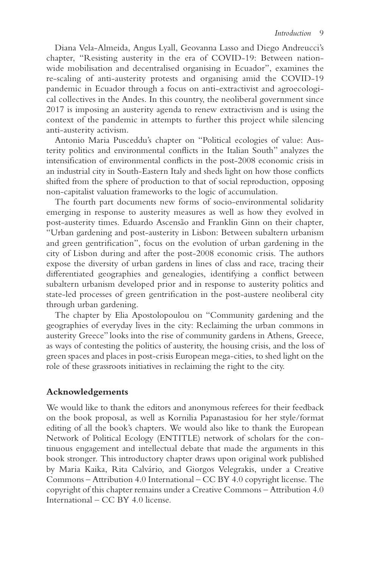Diana Vela-Almeida, Angus Lyall, Geovanna Lasso and Diego Andreucci's chapter, "Resisting austerity in the era of COVID-19: Between nationwide mobilisation and decentralised organising in Ecuador", examines the re-scaling of anti-austerity protests and organising amid the COVID-19 pandemic in Ecuador through a focus on anti-extractivist and agroecological collectives in the Andes. In this country, the neoliberal government since 2017 is imposing an austerity agenda to renew extractivism and is using the context of the pandemic in attempts to further this project while silencing anti-austerity activism.

Antonio Maria Pusceddu's chapter on "Political ecologies of value: Austerity politics and environmental conficts in the Italian South" analyzes the intensifcation of environmental conficts in the post-2008 economic crisis in an industrial city in South-Eastern Italy and sheds light on how those conficts shifted from the sphere of production to that of social reproduction, opposing non-capitalist valuation frameworks to the logic of accumulation.

The fourth part documents new forms of socio-environmental solidarity emerging in response to austerity measures as well as how they evolved in post-austerity times. Eduardo Ascensão and Franklin Ginn on their chapter, "Urban gardening and post-austerity in Lisbon: Between subaltern urbanism and green gentrifcation", focus on the evolution of urban gardening in the city of Lisbon during and after the post-2008 economic crisis. The authors expose the diversity of urban gardens in lines of class and race, tracing their diferentiated geographies and genealogies, identifying a confict between subaltern urbanism developed prior and in response to austerity politics and state-led processes of green gentrifcation in the post-austere neoliberal city through urban gardening.

The chapter by Elia Apostolopoulou on "Community gardening and the geographies of everyday lives in the city: Reclaiming the urban commons in austerity Greece" looks into the rise of community gardens in Athens, Greece, as ways of contesting the politics of austerity, the housing crisis, and the loss of green spaces and places in post-crisis European mega-cities, to shed light on the role of these grassroots initiatives in reclaiming the right to the city.

#### **Acknowledgements**

We would like to thank the editors and anonymous referees for their feedback on the book proposal, as well as Kornilia Papanastasiou for her style/format editing of all the book's chapters. We would also like to thank the European Network of Political Ecology (ENTITLE) network of scholars for the continuous engagement and intellectual debate that made the arguments in this book stronger. This introductory chapter draws upon original work published by Maria Kaika, Rita Calvário, and Giorgos Velegrakis, under a Creative Commons – Attribution 4.0 International – CC BY 4.0 copyright license. The copyright of this chapter remains under a Creative Commons – Attribution 4.0 International – CC BY 4.0 license.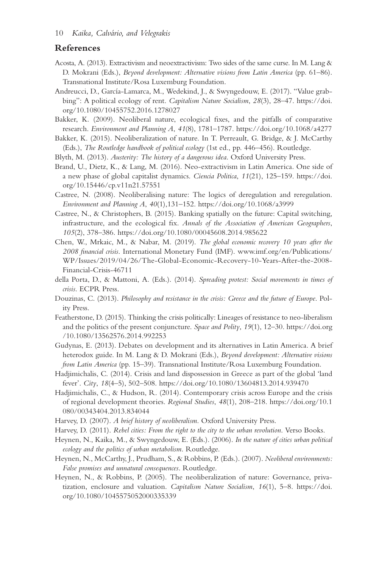#### **References**

- Acosta, A. (2013). Extractivism and neoextractivism: Two sides of the same curse. In M. Lang & D. Mokrani (Eds.), *Beyond development: Alternative visions from Latin America* (pp. 61–86). Transnational Institute/Rosa Luxemburg Foundation.
- Andreucci, D., García-Lamarca, M., Wedekind, J., & Swyngedouw, E. (2017). "Value grabbing": A political ecology of rent. *Capitalism Nature Socialism*, *28*(3), 28–47. [https://doi.](https://doi.org/10.1080/10455752.2016.1278027) [org/10.1080/10455752.2016.1278027](https://doi.org/10.1080/10455752.2016.1278027)
- Bakker, K. (2009). Neoliberal nature, ecological fxes, and the pitfalls of comparative research. *Environment and Planning A*, *41*(8), 1781–1787. <https://doi.org/10.1068/a4277>
- Bakker, K. (2015). Neoliberalization of nature. In T. Perreault, G. Bridge, & J. McCarthy (Eds.), *The Routledge handbook of political ecology* (1st ed., pp. 446–456). Routledge.
- Blyth, M. (2013). *Austerity: The history of a dangerous idea*. Oxford University Press.
- Brand, U., Dietz, K., & Lang, M. (2016). Neo-extractivism in Latin America. One side of a new phase of global capitalist dynamics. *Ciencia Politica*, *11*(21), 125–159. [https://doi.](https://doi.org/10.15446/cp.v11n21.57551) [org/10.15446/cp.v11n21.57551](https://doi.org/10.15446/cp.v11n21.57551)
- Castree, N. (2008). Neoliberalising nature: The logics of deregulation and reregulation. *Environment and Planning A*, *40*(1),131–152.<https://doi.org/10.1068/a3999>
- Castree, N., & Christophers, B. (2015). Banking spatially on the future: Capital switching, infrastructure, and the ecological fx. *Annals of the Association of American Geographers*, *105*(2), 378–386.<https://doi.org/10.1080/00045608.2014.985622>
- Chen, W., Mrkaic, M., & Nabar, M. (2019). *The global economic recovery 10 years after the 2008 fnancial crisis*. International Monetary Fund (IMF). [www.imf.org/en/Publications/](http://www.imf.org) [WP/Issues/2019/04/26/The-Global-Economic-Recovery-10-Years-After-the-2008-](http://www.imf.org) [Financial-Crisis-46711](http://www.imf.org)
- della Porta, D., & Mattoni, A. (Eds.). (2014). *Spreading protest: Social movements in times of crisis*. ECPR Press.
- Douzinas, C. (2013). *Philosophy and resistance in the crisis: Greece and the future of Europe*. Polity Press.
- Featherstone, D. (2015). Thinking the crisis politically: Lineages of resistance to neo-liberalism and the politics of the present conjuncture. *Space and Polity*, *19*(1), 12–30. [https://doi.org](https://doi.org/10.1080/13562576.2014.992253) [/10.1080/13562576.2014.992253](https://doi.org/10.1080/13562576.2014.992253)
- Gudynas, E. (2013). Debates on development and its alternatives in Latin America. A brief heterodox guide. In M. Lang & D. Mokrani (Eds.), *Beyond development: Alternative visions from Latin America* (pp. 15–39). Transnational Institute/Rosa Luxemburg Foundation.
- Hadjimichalis, C. (2014). Crisis and land dispossession in Greece as part of the global 'land fever'. *City*, *18*(4–5), 502–508. <https://doi.org/10.1080/13604813.2014.939470>
- Hadjimichalis, C., & Hudson, R. (2014). Contemporary crisis across Europe and the crisis of regional development theories. *Regional Studies*, *48*(1), 208–218. [https://doi.org/10.1](https://doi.org/10.1080/00343404.2013.834044) [080/00343404.2013.834044](https://doi.org/10.1080/00343404.2013.834044)
- Harvey, D. (2007). *A brief history of neoliberalism*. Oxford University Press.
- Harvey, D. (2011). *Rebel cities: From the right to the city to the urban revolution*. Verso Books.
- Heynen, N., Kaika, M., & Swyngedouw, E. (Eds.). (2006). *In the nature of cities urban political ecology and the politics of urban metabolism*. Routledge.
- Heynen, N., McCarthy, J., Prudham, S., & Robbins, P. (Eds.). (2007). *Neoliberal environments: False promises and unnatural consequences*. Routledge.
- Heynen, N., & Robbins, P. (2005). The neoliberalization of nature: Governance, privatization, enclosure and valuation. *Capitalism Nature Socialism*, *16*(1), 5–8. [https://doi.](https://doi.org/10.1080/1045575052000335339) [org/10.1080/1045575052000335339](https://doi.org/10.1080/1045575052000335339)